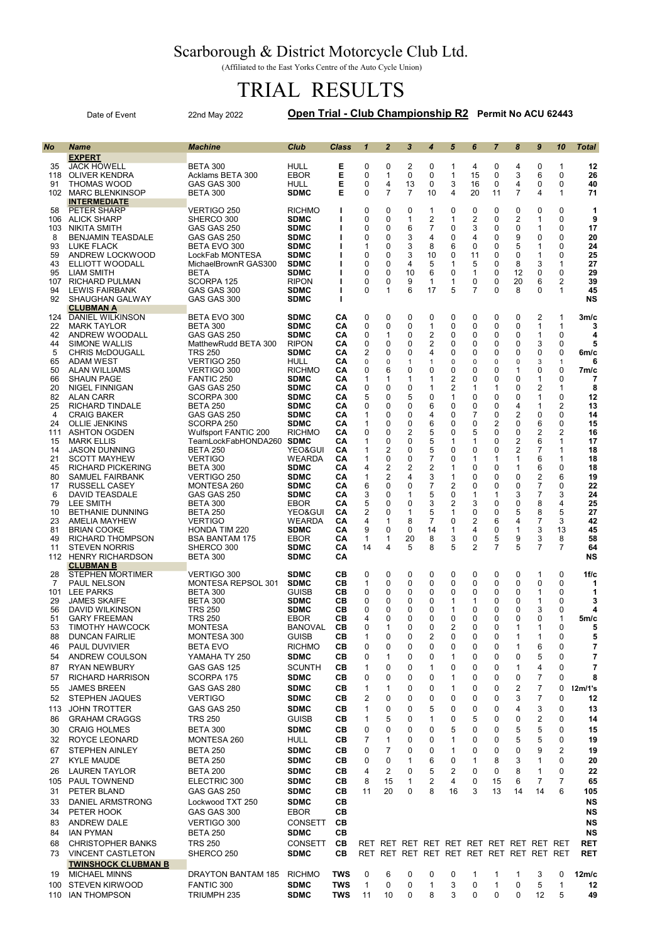## Scarborough & District Motorcycle Club Ltd.

(Affiliated to the East Yorks Centre of the Auto Cycle Union)

## TRIAL RESULTS